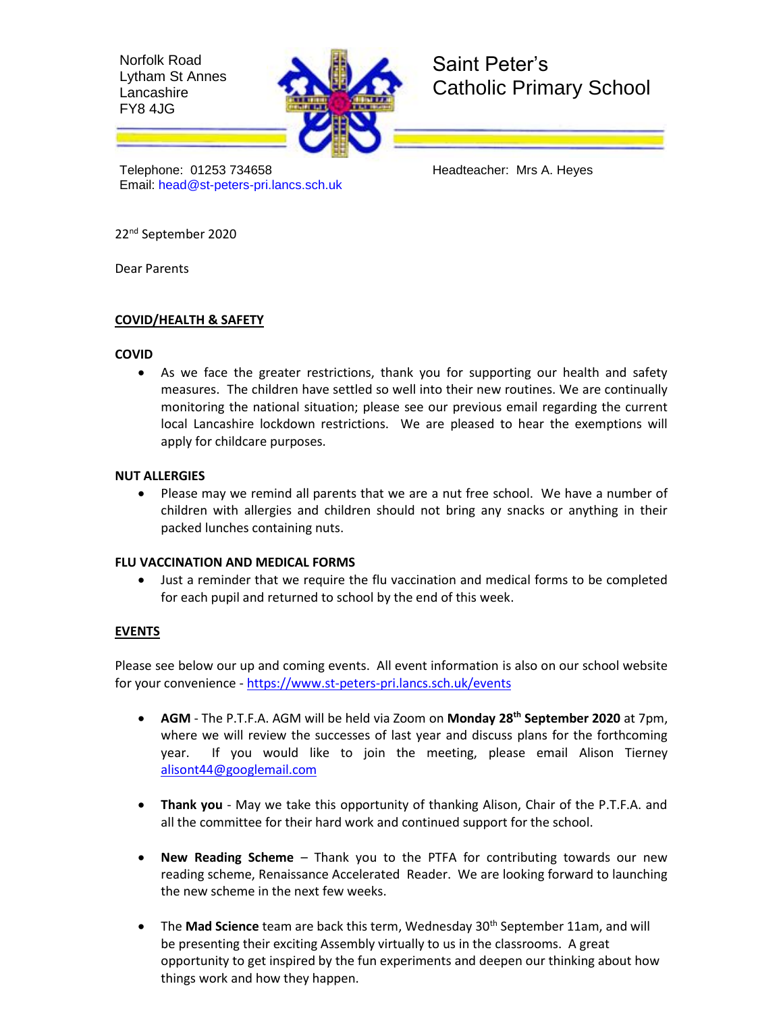Norfolk Road Lytham St Annes **Lancashire** FY8 4JG



Saint Peter's Catholic Primary School

Telephone: 01253 734658 Headteacher: Mrs A. Heyes Email: [head@st-peters-pri.lancs.sch.uk](mailto:head@st-peters-pri.lancs.sch.uk)

22<sup>nd</sup> September 2020

Dear Parents

## **COVID/HEALTH & SAFETY**

### **COVID**

 As we face the greater restrictions, thank you for supporting our health and safety measures. The children have settled so well into their new routines. We are continually monitoring the national situation; please see our previous email regarding the current local Lancashire lockdown restrictions. We are pleased to hear the exemptions will apply for childcare purposes.

### **NUT ALLERGIES**

 Please may we remind all parents that we are a nut free school. We have a number of children with allergies and children should not bring any snacks or anything in their packed lunches containing nuts.

### **FLU VACCINATION AND MEDICAL FORMS**

 Just a reminder that we require the flu vaccination and medical forms to be completed for each pupil and returned to school by the end of this week.

# **EVENTS**

Please see below our up and coming events. All event information is also on our school website for your convenience - <https://www.st-peters-pri.lancs.sch.uk/events>

- **AGM** The P.T.F.A. AGM will be held via Zoom on **Monday 28th September 2020** at 7pm, where we will review the successes of last year and discuss plans for the forthcoming year. If you would like to join the meeting, please email Alison Tierney [alisont44@googlemail.com](mailto:alisont44@googlemail.com)
- **Thank you** May we take this opportunity of thanking Alison, Chair of the P.T.F.A. and all the committee for their hard work and continued support for the school.
- **New Reading Scheme** Thank you to the PTFA for contributing towards our new reading scheme, Renaissance Accelerated Reader. We are looking forward to launching the new scheme in the next few weeks.
- The **Mad Science** team are back this term, Wednesday 30th September 11am, and will be presenting their exciting Assembly virtually to us in the classrooms. A great opportunity to get inspired by the fun experiments and deepen our thinking about how things work and how they happen.